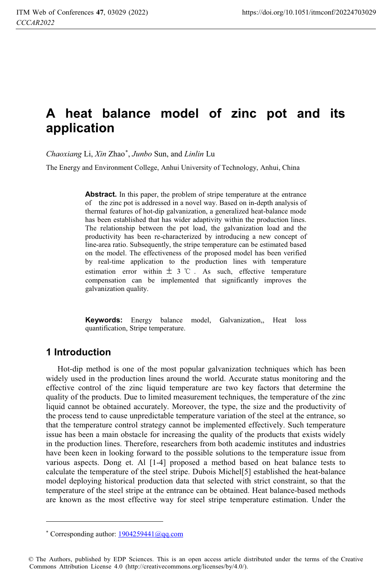# **A heat balance model of zinc pot and its application**

*Chaoxiang* Li, *Xin* Zhao\* , *Junbo* Sun, and *Linlin* Lu

The Energy and Environment College, Anhui University of Technology, Anhui, China

**Abstract.** In this paper, the problem of stripe temperature at the entrance of the zinc pot is addressed in a novel way. Based on in-depth analysis of thermal features of hot-dip galvanization, a generalized heat-balance mode has been established that has wider adaptivity within the production lines. The relationship between the pot load, the galvanization load and the productivity has been re-characterized by introducing a new concept of line-area ratio. Subsequently, the stripe temperature can be estimated based on the model. The effectiveness of the proposed model has been verified by real-time application to the production lines with temperature estimation error within  $\pm$  3 °C. As such, effective temperature compensation can be implemented that significantly improves the galvanization quality.

**Keywords:** Energy balance model, Galvanization,, Heat loss quantification, Stripe temperature.

# **1 Introduction**

j

Hot-dip method is one of the most popular galvanization techniques which has been widely used in the production lines around the world. Accurate status monitoring and the effective control of the zinc liquid temperature are two key factors that determine the quality of the products. Due to limited measurement techniques, the temperature of the zinc liquid cannot be obtained accurately. Moreover, the type, the size and the productivity of the process tend to cause unpredictable temperature variation of the steel at the entrance, so that the temperature control strategy cannot be implemented effectively. Such temperature issue has been a main obstacle for increasing the quality of the products that exists widely in the production lines. Therefore, researchers from both academic institutes and industries have been keen in looking forward to the possible solutions to the temperature issue from various aspects. Dong et. Al [1-4] proposed a method based on heat balance tests to calculate the temperature of the steel stripe. Dubois Michel[5] established the heat-balance model deploying historical production data that selected with strict constraint, so that the temperature of the steel stripe at the entrance can be obtained. Heat balance-based methods are known as the most effective way for steel stripe temperature estimation. Under the

<sup>\*</sup> Corresponding author:  $\frac{1904259441(\omega)qq.com}{\omega}$ 

<sup>©</sup> The Authors, published by EDP Sciences. This is an open access article distributed under the terms of the Creative Commons Attribution License 4.0 (http://creativecommons.org/licenses/by/4.0/).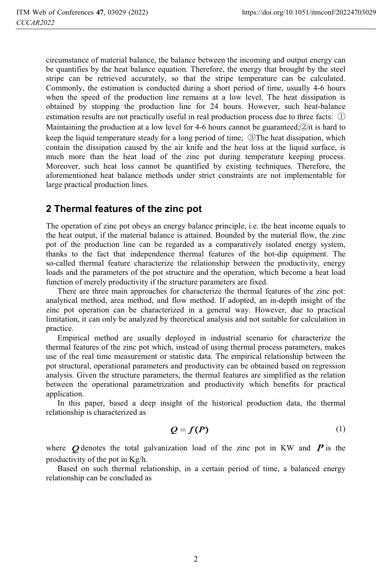circumstance of material balance, the balance between the incoming and output energy can be quantifies by the heat balance equation. Therefore, the energy that brought by the steel stripe can be retrieved accurately, so that the stripe temperature can be calculated. Commonly, the estimation is conducted during a short period of time, usually 4-6 hours when the speed of the production line remains at a low level. The heat dissipation is obtained by stopping the production line for 24 hours. However, such heat-balance estimation results are not practically useful in real production process due to three facts:  $\Omega$ Maintaining the production at a low level for 4-6 hours cannot be guaranteed; $\mathcal{Q}$  it is hard to keep the liquid temperature steady for a long period of time;  $\mathcal{D}$ The heat dissipation, which contain the dissipation caused by the air knife and the heat loss at the liquid surface, is much more than the heat load of the zinc pot during temperature keeping process. Moreover, such heat loss cannot be quantified by existing techniques. Therefore, the aforementioned heat balance methods under strict constraints are not implementable for large practical production lines.

### **2 Thermal features of the zinc pot**

The operation of zinc pot obeys an energy balance principle, i.e. the heat income equals to the heat output, if the material balance is attained. Bounded by the material flow, the zinc pot of the production line can be regarded as a comparatively isolated energy system, thanks to the fact that independence thermal features of the hot-dip equipment. The so-called thermal feature characterize the relationship between the productivity, energy loads and the parameters of the pot structure and the operation, which become a heat load function of merely productivity if the structure parameters are fixed.

There are three main approaches for characterize the thermal features of the zinc pot: analytical method, area method, and flow method. If adopted, an in-depth insight of the zinc pot operation can be characterized in a general way. However, due to practical limitation, it can only be analyzed by theoretical analysis and not suitable for calculation in practice.

Empirical method are usually deployed in industrial scenario for characterize the thermal features of the zinc pot which, instead of using thermal process parameters, makes use of the real time measurement or statistic data. The empirical relationship between the pot structural, operational parameters and productivity can be obtained based on regression analysis. Given the structure parameters, the thermal features are simplified as the relation between the operational parametrization and productivity which benefits for practical application.

In this paper, based a deep insight of the historical production data, the thermal relationship is characterized as

$$
Q = f(P) \tag{1}
$$

where  $\boldsymbol{O}$  denotes the total galvanization load of the zinc pot in KW and  $\boldsymbol{P}$  is the productivity of the pot in Kg/h.

Based on such thermal relationship, in a certain period of time, a balanced energy relationship can be concluded as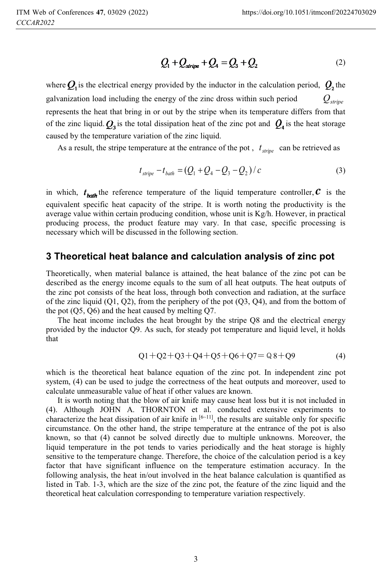$$
Q_1 + Q_{\text{stripe}} + Q_4 = Q_3 + Q_2 \tag{2}
$$

where  $Q_1$  is the electrical energy provided by the inductor in the calculation period,  $Q_2$  the galvanization load including the energy of the zinc dross within such period  $Q_{\text{string}}$ represents the heat that bring in or out by the stripe when its temperature differs from that of the zinc liquid.  $Q_3$  is the total dissipation heat of the zinc pot and  $Q_4$  is the heat storage caused by the temperature variation of the zinc liquid.

As a result, the stripe temperature at the entrance of the pot,  $t_{\text{strip}}$  can be retrieved as

$$
t_{\text{strip}} - t_{\text{bath}} = (Q_1 + Q_4 - Q_3 - Q_2) / c \tag{3}
$$

in which,  $t_{\text{bath}}$  the reference temperature of the liquid temperature controller,  $\mathcal{C}$  is the equivalent specific heat capacity of the stripe. It is worth noting the productivity is the average value within certain producing condition, whose unit is  $Kg/h$ . However, in practical producing process, the product feature may vary. In that case, specific processing is necessary which will be discussed in the following section.

## **3 Theoretical heat balance and calculation analysis of zinc pot**

Theoretically, when material balance is attained, the heat balance of the zinc pot can be described as the energy income equals to the sum of all heat outputs. The heat outputs of the zinc pot consists of the heat loss, through both convection and radiation, at the surface of the zinc liquid  $(Q1, Q2)$ , from the periphery of the pot  $(Q3, Q4)$ , and from the bottom of the pot (Q5, Q6) and the heat caused by melting Q7.

The heat income includes the heat brought by the stripe Q8 and the electrical energy provided by the inductor Q9. As such, for steady pot temperature and liquid level, it holds that

$$
Q1 + Q2 + Q3 + Q4 + Q5 + Q6 + Q7 = Q8 + Q9
$$
\n<sup>(4)</sup>

which is the theoretical heat balance equation of the zinc pot. In independent zinc pot system, (4) can be used to judge the correctness of the heat outputs and moreover, used to calculate unmeasurable value of heat if other values are known.

It is worth noting that the blow of air knife may cause heat loss but it is not included in (4). Although JOHN A. THORNTON et al. conducted extensive experiments to characterize the heat dissipation of air knife in  $[6-11]$ , the results are suitable only for specific circumstance. On the other hand, the stripe temperature at the entrance of the pot is also known, so that (4) cannot be solved directly due to multiple unknowns. Moreover, the liquid temperature in the pot tends to varies periodically and the heat storage is highly sensitive to the temperature change. Therefore, the choice of the calculation period is a key factor that have significant influence on the temperature estimation accuracy. In the following analysis, the heat in/out involved in the heat balance calculation is quantified as listed in Tab. 1-3, which are the size of the zinc pot, the feature of the zinc liquid and the theoretical heat calculation corresponding to temperature variation respectively.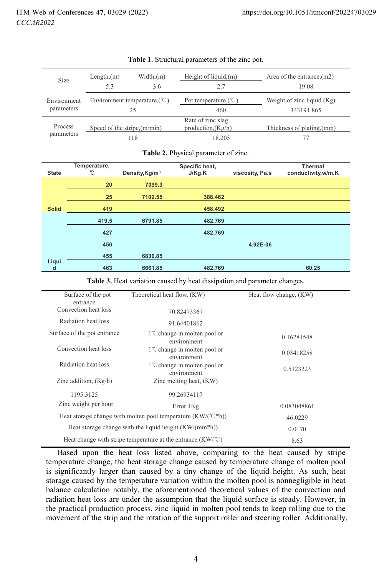| Size                         | Length(m)<br>5.3                               | Width(m)<br>3.6 | Height of liquid, $(m)$                             | Area of the entrance, $(m2)$<br>19.08      |
|------------------------------|------------------------------------------------|-----------------|-----------------------------------------------------|--------------------------------------------|
| Environment<br>parameters    | Environment temperature, $(\mathcal{C})$<br>25 |                 | Pot temperature, $({\degree}C)$<br>460              | Weight of zinc liquid $(Kg)$<br>343191.865 |
| <b>Process</b><br>parameters | Speed of the stripe, $(m/min)$                 | 118             | Rate of zinc slag<br>production, $(Kg/h)$<br>18.203 | Thickness of plating (mm)                  |

#### **Table 1.** Structural parameters of the zinc pot.

#### **Table 2.** Physical parameter of zinc.

| <b>State</b> | Temperature,<br>℃ | Density, Kg/m <sup>3</sup> | Specific heat,<br>J/Kg.K | viscosity, Pa.s | <b>Thermal</b><br>conductivity, w/m.K |
|--------------|-------------------|----------------------------|--------------------------|-----------------|---------------------------------------|
|              | 20                | 7099.3                     |                          |                 |                                       |
|              | 25                | 7102.55                    | 388,462                  |                 |                                       |
| <b>Solid</b> | 419               |                            | 458.492                  |                 |                                       |
|              | 419.5             | 6791.85                    | 482.769                  |                 |                                       |
|              | 427               |                            | 482.769                  |                 |                                       |
|              | 450               |                            |                          | 4.92E-06        |                                       |
|              | 455               | 6830.85                    |                          |                 |                                       |
| Liqui<br>d   | 463               | 6661.85                    | 482.769                  |                 | 60.25                                 |

**Table 3.** Heat variation caused by heat dissipation and parameter changes.

| Surface of the pot                                                    | Theoretical heat flow, (KW)                              | Heat flow change, (KW) |
|-----------------------------------------------------------------------|----------------------------------------------------------|------------------------|
| entrance                                                              |                                                          |                        |
| Convection heat loss                                                  | 70.82473367                                              |                        |
| Radiation heat loss                                                   | 91.64401862                                              |                        |
| Surface of the pot entrance                                           | 1 <sup>°</sup> C change in molten pool or<br>environment | 0.16281548             |
| Convection heat loss                                                  | 1 <sup>°</sup> C change in molten pool or<br>environment | 0.03418258             |
| Radiation heat loss                                                   | 1 <sup>°</sup> C change in molten pool or<br>environment | 0.5123223              |
| Zinc addition, $(Kg/h)$                                               | Zinc melting heat, (KW)                                  |                        |
| 1195.3125                                                             | 99.26934117                                              |                        |
| Zinc weight per hour                                                  | Error 1Kg                                                | 0.083048861            |
| Heat storage change with molten pool temperature $(KW/(C^*h))$        | 46.0229                                                  |                        |
| Heat storage change with the liquid height $(KW/(mm*h))$              | 0.0170                                                   |                        |
| Heat change with stripe temperature at the entrance $(KW)^{\circ}C$ ) | 8.63                                                     |                        |

Based upon the heat loss listed above, comparing to the heat caused by stripe temperature change, the heat storage change caused by temperature change of molten pool is significantly larger than caused by a tiny change of the liquid height. As such, heat storage caused by the temperature variation within the molten pool is nonnegligible in heat balance calculation notably, the aforementioned theoretical values of the convection and radiation heat loss are under the assumption that the liquid surface is steady. However, in the practical production process, zinc liquid in molten pool tends to keep rolling due to the movement of the strip and the rotation of the support roller and steering roller. Additionally,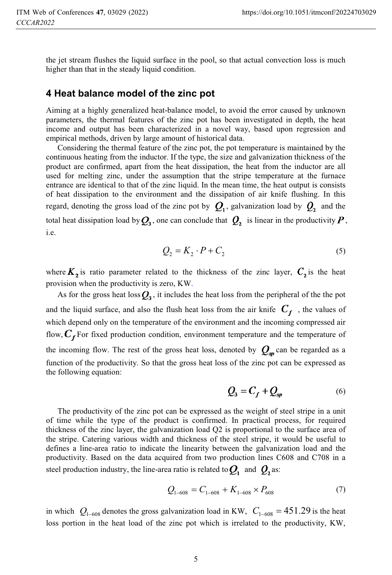the jet stream flushes the liquid surface in the pool, so that actual convection loss is much higher than that in the steady liquid condition.

#### **4 Heat balance model of the zinc pot**

Aiming at a highly generalized heat-balance model, to avoid the error caused by unknown parameters, the thermal features of the zinc pot has been investigated in depth, the heat income and output has been characterized in a novel way, based upon regression and empirical methods, driven by large amount of historical data.

Considering the thermal feature of the zinc pot, the pot temperature is maintained by the continuous heating from the inductor. If the type, the size and galvanization thickness of the product are confirmed, apart from the heat dissipation, the heat from the inductor are all used for melting zinc, under the assumption that the stripe temperature at the furnace entrance are identical to that of the zinc liquid. In the mean time, the heat output is consists of heat dissipation to the environment and the dissipation of air knife flushing. In this regard, denoting the gross load of the zinc pot by  $Q_1$ , galvanization load by  $Q_2$  and the total heat dissipation load by  $Q_3$ , one can conclude that  $Q_2$  is linear in the productivity  $P$ , i.e.

$$
Q_2 = K_2 \cdot P + C_2 \tag{5}
$$

where  $K_2$  is ratio parameter related to the thickness of the zinc layer,  $C_2$  is the heat provision when the productivity is zero, KW.

As for the gross heat loss  $Q_3$ , it includes the heat loss from the peripheral of the the pot and the liquid surface, and also the flush heat loss from the air knife  $C_f$ , the values of which depend only on the temperature of the environment and the incoming compressed air flow,  $C_f$  For fixed production condition, environment temperature and the temperature of the incoming flow. The rest of the gross heat loss, denoted by  $Q_{\rm so}$  can be regarded as a function of the productivity. So that the gross heat loss of the zinc pot can be expressed as the following equation:

$$
Q_3 = C_f + Q_{sp} \tag{6}
$$

The productivity of the zinc pot can be expressed as the weight of steel stripe in a unit of time while the type of the product is confirmed. In practical process, for required thickness of the zinc layer, the galvanization load Q2 is proportional to the surface area of the stripe. Catering various width and thickness of the steel stripe, it would be useful to defines a line-area ratio to indicate the linearity between the galvanization load and the productivity. Based on the data acquired from two production lines C608 and C708 in a steel production industry, the line-area ratio is related to  $Q_1$  and  $Q_2$  as:

$$
Q_{1-608} = C_{1-608} + K_{1-608} \times P_{608}
$$
 (7)

in which  $Q_{1-608}$  denotes the gross galvanization load in KW,  $C_{1-608} = 451.29$  is the heat loss portion in the heat load of the zinc pot which is irrelated to the productivity, KW,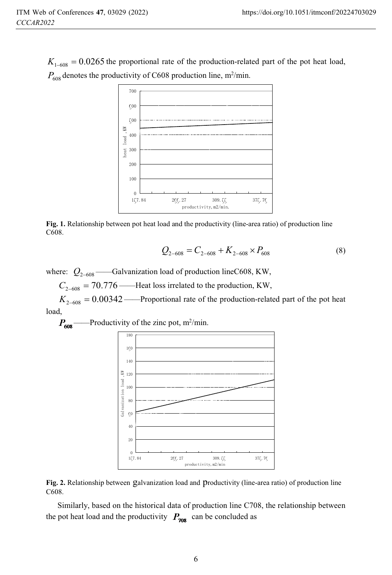$K_{1-608} = 0.0265$  the proportional rate of the production-related part of the pot heat load,  $P_{608}$  denotes the productivity of C608 production line, m<sup>2</sup>/min.



**Fig. 1.** Relationship between pot heat load and the productivity (line-area ratio) of production line C608.

$$
Q_{2-608} = C_{2-608} + K_{2-608} \times P_{608}
$$
 (8)

where:  $Q_{2-608}$  ——Galvanization load of production lineC608, KW,

 $C_{2-608} = 70.776$ ——Heat loss irrelated to the production, KW,

 $K_{2-608} = 0.00342$ ——Proportional rate of the production-related part of the pot heat load,

 $\text{---}$ Productivity of the zinc pot, m<sup>2</sup>/min.





Similarly, based on the historical data of production line C708, the relationship between the pot heat load and the productivity  $P_{708}$  can be concluded as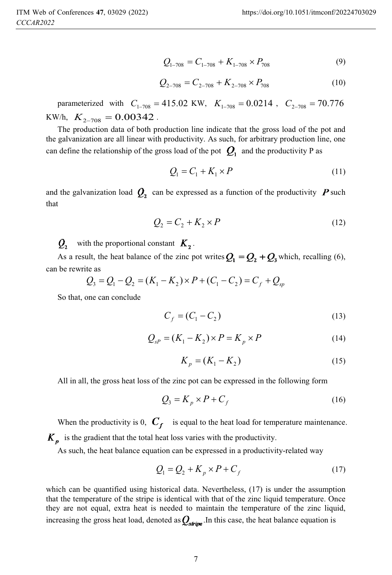$$
Q_{1-708} = C_{1-708} + K_{1-708} \times P_{708}
$$
 (9)

$$
Q_{2-708} = C_{2-708} + K_{2-708} \times P_{708}
$$
 (10)

parameterized with  $C_{1-708} = 415.02$  KW,  $K_{1-708} = 0.0214$ ,  $C_{2-708} = 70.776$ KW/h,  $K_{2-708} = 0.00342$ .

The production data of both production line indicate that the gross load of the pot and the galvanization are all linear with productivity. As such, for arbitrary production line, one can define the relationship of the gross load of the pot  $Q_1$  and the productivity P as

$$
Q_1 = C_1 + K_1 \times P \tag{11}
$$

and the galvanization load  $Q_2$  can be expressed as a function of the productivity  $P$  such that

$$
Q_2 = C_2 + K_2 \times P \tag{12}
$$

 $Q_2$  with the proportional constant  $K_2$ .

As a result, the heat balance of the zinc pot writes  $Q_1 = Q_2 + Q_3$  which, recalling (6), can be rewrite as

$$
Q_3 = Q_1 - Q_2 = (K_1 - K_2) \times P + (C_1 - C_2) = C_f + Q_{sp}
$$

So that, one can conclude

$$
C_f = (C_1 - C_2)
$$
 (13)

$$
Q_{sP} = (K_1 - K_2) \times P = K_p \times P \tag{14}
$$

$$
K_p = (K_1 - K_2) \tag{15}
$$

All in all, the gross heat loss of the zinc pot can be expressed in the following form

$$
Q_3 = K_p \times P + C_f \tag{16}
$$

When the productivity is 0,  $C_f$  is equal to the heat load for temperature maintenance.  $K_p$  is the gradient that the total heat loss varies with the productivity.

As such, the heat balance equation can be expressed in a productivity-related way

$$
Q_1 = Q_2 + K_p \times P + C_f \tag{17}
$$

which can be quantified using historical data. Nevertheless, (17) is under the assumption that the temperature of the stripe is identical with that of the zinc liquid temperature. Once they are not equal, extra heat is needed to maintain the temperature of the zinc liquid, increasing the gross heat load, denoted as  $Q_{\text{string}}$ . In this case, the heat balance equation is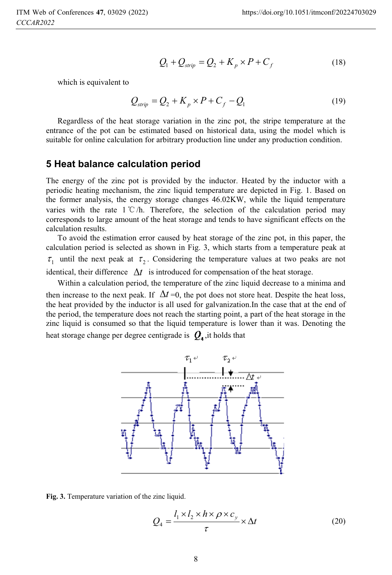$$
Q_1 + Q_{strip} = Q_2 + K_p \times P + C_f
$$
 (18)

which is equivalent to

$$
Q_{strip} = Q_2 + K_p \times P + C_f - Q_1 \tag{19}
$$

Regardless of the heat storage variation in the zinc pot, the stripe temperature at the entrance of the pot can be estimated based on historical data, using the model which is suitable for online calculation for arbitrary production line under any production condition.

#### **5 Heat balance calculation period**

The energy of the zinc pot is provided by the inductor. Heated by the inductor with a periodic heating mechanism, the zinc liquid temperature are depicted in Fig. 1. Based on the former analysis, the energy storage changes 46.02KW, while the liquid temperature varies with the rate  $1^{\circ}C/h$ . Therefore, the selection of the calculation period may corresponds to large amount of the heat storage and tends to have significant effects on the calculation results.

To avoid the estimation error caused by heat storage of the zinc pot, in this paper, the calculation period is selected as shown in Fig. 3, which starts from a temperature peak at  $\tau_1$  until the next peak at  $\tau_2$ . Considering the temperature values at two peaks are not identical, their difference  $\Delta t$  is introduced for compensation of the heat storage.

Within a calculation period, the temperature of the zinc liquid decrease to a minima and

then increase to the next peak. If  $\Delta t = 0$ , the pot does not store heat. Despite the heat loss, the heat provided by the inductor is all used for galvanization.In the case that at the end of the period, the temperature does not reach the starting point, a part of the heat storage in the zinc liquid is consumed so that the liquid temperature is lower than it was. Denoting the heat storage change per degree centigrade is  $Q_4$ , it holds that



**Fig. 3.** Temperature variation of the zinc liquid.

$$
Q_4 = \frac{l_1 \times l_2 \times h \times \rho \times c_y}{\tau} \times \Delta t \tag{20}
$$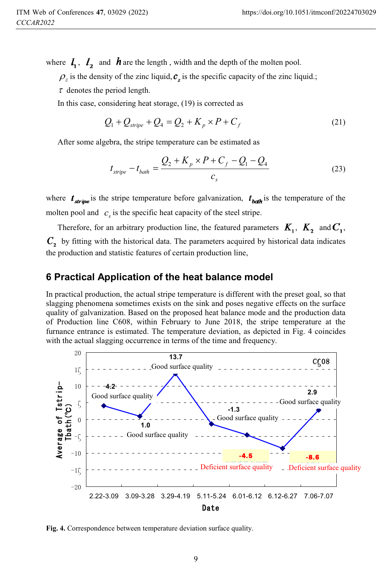where  $I_1$ ,  $I_2$  and **h** are the length, width and the depth of the molten pool.

 $\rho_z$  is the density of the zinc liquid,  $c_z$  is the specific capacity of the zinc liquid.;

 $\tau$  denotes the period length.

In this case, considering heat storage, (19) is corrected as

$$
Q_1 + Q_{\text{strip}} + Q_4 = Q_2 + K_p \times P + C_f \tag{21}
$$

After some algebra, the stripe temperature can be estimated as

$$
t_{\text{strip}} - t_{\text{bath}} = \frac{Q_2 + K_p \times P + C_f - Q_1 - Q_4}{c_s}
$$
 (23)

where  $t_{\text{string}}$  is the stripe temperature before galvanization,  $t_{\text{body}}$  is the temperature of the molten pool and  $c_s$  is the specific heat capacity of the steel stripe.

Therefore, for an arbitrary production line, the featured parameters  $K_1$ ,  $K_2$  and  $C_1$ ,  $C<sub>2</sub>$  by fitting with the historical data. The parameters acquired by historical data indicates the production and statistic features of certain production line,

## **6 Practical Application of the heat balance model**

In practical production, the actual stripe temperature is different with the preset goal, so that slagging phenomena sometimes exists on the sink and poses negative effects on the surface quality of galvanization. Based on the proposed heat balance mode and the production data of Production line C608, within February to June 2018, the stripe temperature at the furnance entrance is estimated. The temperature deviation, as depicted in Fig. 4 coincides with the actual slagging occurrence in terms of the time and frequency.



**Fig. 4.** Correspondence between temperature deviation surface quality.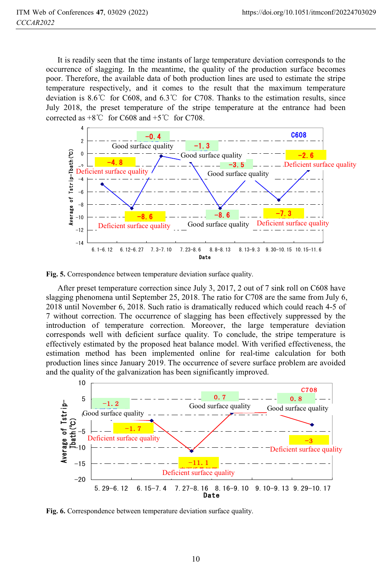It is readily seen that the time instants of large temperature deviation corresponds to the occurrence of slagging. In the meantime, the quality of the production surface becomes poor. Therefore, the available data of both production lines are used to estimate the stripe temperature respectively, and it comes to the result that the maximum temperature deviation is 8.6<sup> $\degree$ </sup> for C608, and 6.3 $\degree$  for C708. Thanks to the estimation results, since July 2018, the preset temperature of the stripe temperature at the entrance had been corrected as  $+8^{\circ}$  for C608 and  $+5^{\circ}$  for C708.



**Fig. 5.** Correspondence between temperature deviation surface quality.

After preset temperature correction since July 3, 2017, 2 out of 7 sink roll on C608 have slagging phenomena until September 25, 2018. The ratio for C708 are the same from July 6, 2018 until November 6, 2018. Such ratio is dramatically reduced which could reach 4-5 of 7 without correction. The occurrence of slagging has been effectively suppressed by the introduction of temperature correction. Moreover, the large temperature deviation corresponds well with deficient surface quality. To conclude, the stripe temperature is effectively estimated by the proposed heat balance model. With verified effectiveness, the estimation method has been implemented online for real-time calculation for both production lines since January 2019. The occurrence of severe surface problem are avoided and the quality of the galvanization has been significantly improved.



**Fig. 6.** Correspondence between temperature deviation surface quality.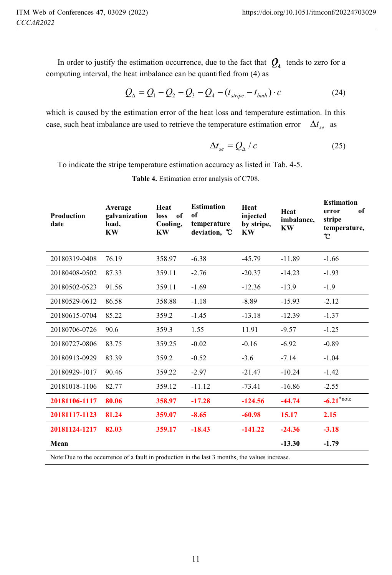In order to justify the estimation occurrence, due to the fact that  $Q_4$  tends to zero for a computing interval, the heat imbalance can be quantified from (4) as

$$
Q_{\Delta} = Q_1 - Q_2 - Q_3 - Q_4 - (t_{\text{stripe}} - t_{\text{bath}}) \cdot c \tag{24}
$$

which is caused by the estimation error of the heat loss and temperature estimation. In this case, such heat imbalance are used to retrieve the temperature estimation error  $\Delta t_{se}$  as

$$
\Delta t_{se} = Q_{\Delta} / c \tag{25}
$$

To indicate the stripe temperature estimation accuracy as listed in Tab. 4-5.

| Production<br>date | Average<br>galvanization<br>load,<br>KW | Heat<br>of<br>loss<br>Cooling,<br><b>KW</b> | <b>Estimation</b><br>of<br>temperature<br>deviation, C | Heat<br>injected<br>by stripe,<br>KW | Heat<br>imbalance,<br><b>KW</b> | <b>Estimation</b><br>of<br>error<br>stripe<br>temperature,<br>U |
|--------------------|-----------------------------------------|---------------------------------------------|--------------------------------------------------------|--------------------------------------|---------------------------------|-----------------------------------------------------------------|
| 20180319-0408      | 76.19                                   | 358.97                                      | $-6.38$                                                | $-45.79$                             | $-11.89$                        | $-1.66$                                                         |
| 20180408-0502      | 87.33                                   | 359.11                                      | $-2.76$                                                | $-20.37$                             | $-14.23$                        | $-1.93$                                                         |
| 20180502-0523      | 91.56                                   | 359.11                                      | $-1.69$                                                | $-12.36$                             | $-13.9$                         | $-1.9$                                                          |
| 20180529-0612      | 86.58                                   | 358.88                                      | $-1.18$                                                | $-8.89$                              | $-15.93$                        | $-2.12$                                                         |
| 20180615-0704      | 85.22                                   | 359.2                                       | $-1.45$                                                | $-13.18$                             | $-12.39$                        | $-1.37$                                                         |
| 20180706-0726      | 90.6                                    | 359.3                                       | 1.55                                                   | 11.91                                | $-9.57$                         | $-1.25$                                                         |
| 20180727-0806      | 83.75                                   | 359.25                                      | $-0.02$                                                | $-0.16$                              | $-6.92$                         | $-0.89$                                                         |
| 20180913-0929      | 83.39                                   | 359.2                                       | $-0.52$                                                | $-3.6$                               | $-7.14$                         | $-1.04$                                                         |
| 20180929-1017      | 90.46                                   | 359.22                                      | $-2.97$                                                | $-21.47$                             | $-10.24$                        | $-1.42$                                                         |
| 20181018-1106      | 82.77                                   | 359.12                                      | $-11.12$                                               | $-73.41$                             | $-16.86$                        | $-2.55$                                                         |
| 20181106-1117      | 80.06                                   | 358.97                                      | $-17.28$                                               | $-124.56$                            | $-44.74$                        | $-6.21$ <sup>*note</sup>                                        |
| 20181117-1123      | 81.24                                   | 359.07                                      | $-8.65$                                                | $-60.98$                             | 15.17                           | 2.15                                                            |
| 20181124-1217      | 82.03                                   | 359.17                                      | $-18.43$                                               | $-141.22$                            | $-24.36$                        | $-3.18$                                                         |
| Mean               |                                         |                                             |                                                        |                                      | $-13.30$                        | $-1.79$                                                         |

**Table 4.** Estimation error analysis of C708.

Note:Due to the occurrence of a fault in production in the last 3 months, the values increase.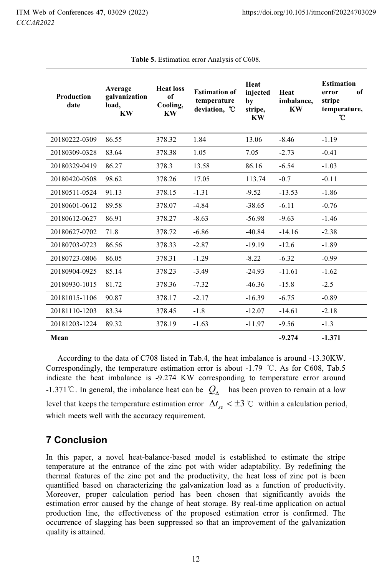| <b>Production</b><br>date | Average<br>galvanization<br>load,<br><b>KW</b> | <b>Heat loss</b><br>of<br>Cooling,<br><b>KW</b> | <b>Estimation of</b><br>temperature<br>deviation, °C | Heat<br>injected<br>by<br>stripe,<br>KW | Heat<br>imbalance.<br><b>KW</b> | <b>Estimation</b><br>of<br>error<br>stripe<br>temperature,<br>°C |
|---------------------------|------------------------------------------------|-------------------------------------------------|------------------------------------------------------|-----------------------------------------|---------------------------------|------------------------------------------------------------------|
| 20180222-0309             | 86.55                                          | 378.32                                          | 1.84                                                 | 13.06                                   | $-8.46$                         | $-1.19$                                                          |
| 20180309-0328             | 83.64                                          | 378.38                                          | 1.05                                                 | 7.05                                    | $-2.73$                         | $-0.41$                                                          |
| 20180329-0419             | 86.27                                          | 378.3                                           | 13.58                                                | 86.16                                   | $-6.54$                         | $-1.03$                                                          |
| 20180420-0508             | 98.62                                          | 378.26                                          | 17.05                                                | 113.74                                  | $-0.7$                          | $-0.11$                                                          |
| 20180511-0524             | 91.13                                          | 378.15                                          | $-1.31$                                              | $-9.52$                                 | $-13.53$                        | $-1.86$                                                          |
| 20180601-0612             | 89.58                                          | 378.07                                          | $-4.84$                                              | $-38.65$                                | $-6.11$                         | $-0.76$                                                          |
| 20180612-0627             | 86.91                                          | 378.27                                          | $-8.63$                                              | $-56.98$                                | $-9.63$                         | $-1.46$                                                          |
| 20180627-0702             | 71.8                                           | 378.72                                          | $-6.86$                                              | $-40.84$                                | $-14.16$                        | $-2.38$                                                          |
| 20180703-0723             | 86.56                                          | 378.33                                          | $-2.87$                                              | $-19.19$                                | $-12.6$                         | $-1.89$                                                          |
| 20180723-0806             | 86.05                                          | 378.31                                          | $-1.29$                                              | $-8.22$                                 | $-6.32$                         | $-0.99$                                                          |
| 20180904-0925             | 85.14                                          | 378.23                                          | $-3.49$                                              | $-24.93$                                | $-11.61$                        | $-1.62$                                                          |
| 20180930-1015             | 81.72                                          | 378.36                                          | $-7.32$                                              | $-46.36$                                | $-15.8$                         | $-2.5$                                                           |
| 20181015-1106             | 90.87                                          | 378.17                                          | $-2.17$                                              | $-16.39$                                | $-6.75$                         | $-0.89$                                                          |
| 20181110-1203             | 83.34                                          | 378.45                                          | $-1.8$                                               | $-12.07$                                | $-14.61$                        | $-2.18$                                                          |
| 20181203-1224             | 89.32                                          | 378.19                                          | $-1.63$                                              | $-11.97$                                | $-9.56$                         | $-1.3$                                                           |
| Mean                      |                                                |                                                 |                                                      |                                         | $-9.274$                        | $-1.371$                                                         |

**Table 5.** Estimation error Analysis of C608.

According to the data of C708 listed in Tab.4, the heat imbalance is around -13.30KW. Correspondingly, the temperature estimation error is about  $-1.79$  °C. As for C608, Tab.5 indicate the heat imbalance is -9.274 KW corresponding to temperature error around -1.371<sup>°</sup>C. In general, the imbalance heat can be  $Q_{\Lambda}$  has been proven to remain at a low level that keeps the temperature estimation error  $\Delta t_{se} < \pm 3$  °C within a calculation period, which meets well with the accuracy requirement.

# **7 Conclusion**

In this paper, a novel heat-balance-based model is established to estimate the stripe temperature at the entrance of the zinc pot with wider adaptability. By redefining the thermal features of the zinc pot and the productivity, the heat loss of zinc pot is been quantified based on characterizing the galvanization load as a function of productivity. Moreover, proper calculation period has been chosen that significantly avoids the estimation error caused by the change of heat storage. By real-time application on actual production line, the effectiveness of the proposed estimation error is confirmed. The occurrence of slagging has been suppressed so that an improvement of the galvanization quality is attained.